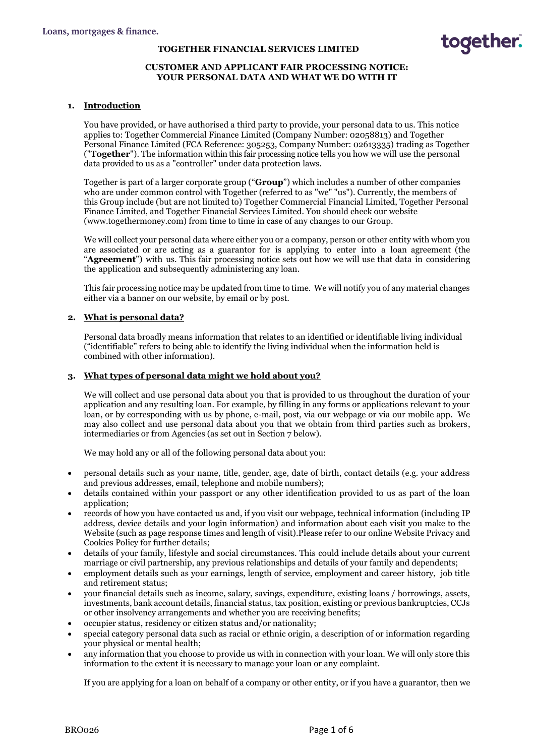### **TOGETHER FINANCIAL SERVICES LIMITED**

## **CUSTOMER AND APPLICANT FAIR PROCESSING NOTICE: YOUR PERSONAL DATA AND WHAT WE DO WITH IT**

## **1. Introduction**

You have provided, or have authorised a third party to provide, your personal data to us. This notice applies to: Together Commercial Finance Limited (Company Number: 02058813) and Together Personal Finance Limited (FCA Reference: 305253, Company Number: 02613335) trading as Together ("**Together**"). The information within this fair processing notice tells you how we will use the personal data provided to us as a "controller" under data protection laws.

Together is part of a larger corporate group ("**Group**") which includes a number of other companies who are under common control with Together (referred to as "we" "us"). Currently, the members of this Group include (but are not limited to) Together Commercial Financial Limited, Together Personal Finance Limited, and Together Financial Services Limited. You should check our website (www.togethermoney.com) from time to time in case of any changes to our Group.

We will collect your personal data where either you or a company, person or other entity with whom you are associated or are acting as a guarantor for is applying to enter into a loan agreement (the "**Agreement**") with us. This fair processing notice sets out how we will use that data in considering the application and subsequently administering any loan.

This fair processing notice may be updated from time to time. We will notify you of any material changes either via a banner on our website, by email or by post.

## **2. What is personal data?**

Personal data broadly means information that relates to an identified or identifiable living individual ("identifiable" refers to being able to identify the living individual when the information held is combined with other information).

## **3. What types of personal data might we hold about you?**

We will collect and use personal data about you that is provided to us throughout the duration of your application and any resulting loan. For example, by filling in any forms or applications relevant to your loan, or by corresponding with us by phone, e-mail, post, via our webpage or via our mobile app. We may also collect and use personal data about you that we obtain from third parties such as brokers, intermediaries or from Agencies (as set out in Section 7 below).

We may hold any or all of the following personal data about you:

- personal details such as your name, title, gender, age, date of birth, contact details (e.g. your address and previous addresses, email, telephone and mobile numbers);
- details contained within your passport or any other identification provided to us as part of the loan application;
- records of how you have contacted us and, if you visit our webpage, technical information (including IP address, device details and your login information) and information about each visit you make to the Website (such as page response times and length of visit).Please refer to our online Website Privacy and Cookies Policy for further details;
- details of your family, lifestyle and social circumstances. This could include details about your current marriage or civil partnership, any previous relationships and details of your family and dependents;
- employment details such as your earnings, length of service, employment and career history, job title and retirement status;
- your financial details such as income, salary, savings, expenditure, existing loans / borrowings, assets, investments, bank account details, financial status, tax position, existing or previous bankruptcies, CCJs or other insolvency arrangements and whether you are receiving benefits;
- occupier status, residency or citizen status and/or nationality;
- special category personal data such as racial or ethnic origin, a description of or information regarding your physical or mental health;
- any information that you choose to provide us with in connection with your loan. We will only store this information to the extent it is necessary to manage your loan or any complaint.

If you are applying for a loan on behalf of a company or other entity, or if you have a guarantor, then we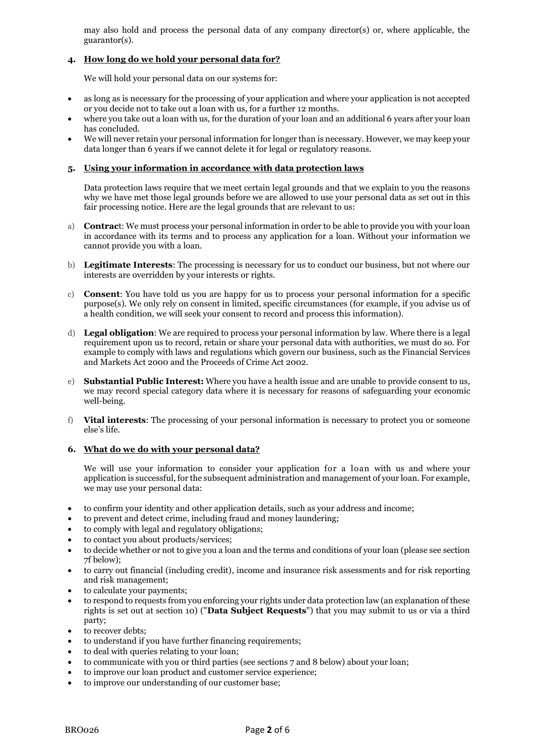may also hold and process the personal data of any company director(s) or, where applicable, the guarantor(s).

# **4. How long do we hold your personal data for?**

We will hold your personal data on our systems for:

- as long as is necessary for the processing of your application and where your application is not accepted or you decide not to take out a loan with us, for a further 12 months.
- where you take out a loan with us, for the duration of your loan and an additional 6 years after your loan has concluded.
- We will never retain your personal information for longer than is necessary. However, we may keep your data longer than 6 years if we cannot delete it for legal or regulatory reasons.

## **5. Using your information in accordance with data protection laws**

Data protection laws require that we meet certain legal grounds and that we explain to you the reasons why we have met those legal grounds before we are allowed to use your personal data as set out in this fair processing notice. Here are the legal grounds that are relevant to us:

- a) **Contrac**t: We must process your personal information in order to be able to provide you with your loan in accordance with its terms and to process any application for a loan. Without your information we cannot provide you with a loan.
- b) **Legitimate Interests**: The processing is necessary for us to conduct our business, but not where our interests are overridden by your interests or rights.
- c) **Consent**: You have told us you are happy for us to process your personal information for a specific purpose(s). We only rely on consent in limited, specific circumstances (for example, if you advise us of a health condition, we will seek your consent to record and process this information).
- d) **Legal obligation**: We are required to process your personal information by law. Where there is a legal requirement upon us to record, retain or share your personal data with authorities, we must do so. For example to comply with laws and regulations which govern our business, such as the Financial Services and Markets Act 2000 and the Proceeds of Crime Act 2002.
- e) **Substantial Public Interest:** Where you have a health issue and are unable to provide consent to us, we may record special category data where it is necessary for reasons of safeguarding your economic well-being.
- f) **Vital interests**: The processing of your personal information is necessary to protect you or someone else's life.

### **6. What do we do with your personal data?**

We will use your information to consider your application for a loan with us and where your application is successful, for the subsequent administration and management of your loan. For example, we may use your personal data:

- to confirm your identity and other application details, such as your address and income;
- to prevent and detect crime, including fraud and money laundering;
- to comply with legal and regulatory obligations;
- to contact you about products/services;
- to decide whether or not to give you a loan and the terms and conditions of your loan (please see section 7f below);
- to carry out financial (including credit), income and insurance risk assessments and for risk reporting and risk management;
- to calculate your payments;
- to respond to requests from you enforcing your rights under data protection law (an explanation of these rights is set out at section 10) ("**Data Subject Requests**") that you may submit to us or via a third party;
- to recover debts;
- to understand if you have further financing requirements;
- to deal with queries relating to your loan;
- to communicate with you or third parties (see sections 7 and 8 below) about your loan;
- to improve our loan product and customer service experience;
- to improve our understanding of our customer base;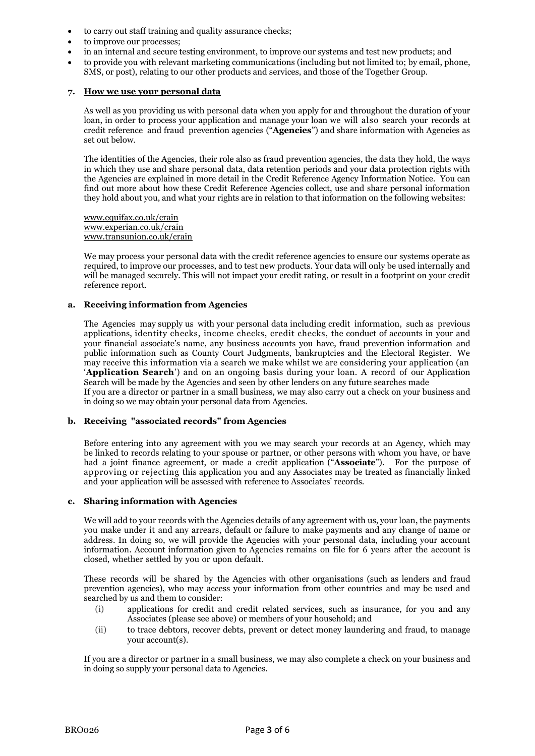- to carry out staff training and quality assurance checks;
- to improve our processes;
- in an internal and secure testing environment, to improve our systems and test new products; and
- to provide you with relevant marketing communications (including but not limited to; by email, phone, SMS, or post), relating to our other products and services, and those of the Together Group.

#### **7. How we use your personal data**

As well as you providing us with personal data when you apply for and throughout the duration of your loan, in order to process your application and manage your loan we will also search your records at credit reference and fraud prevention agencies ("**Agencies**") and share information with Agencies as set out below.

The identities of the Agencies, their role also as fraud prevention agencies, the data they hold, the ways in which they use and share personal data, data retention periods and your data protection rights with the Agencies are explained in more detail in the Credit Reference Agency Information Notice. You can find out more about how these Credit Reference Agencies collect, use and share personal information they hold about you, and what your rights are in relation to that information on the following websites:

[www.equifax.co.uk/crain](http://www.equifax.co.uk/crain) [www.experian.co.uk/crain](http://www.experian.co.uk/crain) www.transunion.co.uk/crain

We may process your personal data with the credit reference agencies to ensure our systems operate as required, to improve our processes, and to test new products. Your data will only be used internally and will be managed securely. This will not impact your credit rating, or result in a footprint on your credit reference report.

#### **a. Receiving information from Agencies**

The Agencies may supply us with your personal data including credit information, such as previous applications, identity checks, income checks, credit checks, the conduct of accounts in your and your financial associate's name, any business accounts you have, fraud prevention information and public information such as County Court Judgments, bankruptcies and the Electoral Register. We may receive this information via a search we make whilst we are considering your application (an '**Application Search**') and on an ongoing basis during your loan. A record of our Application Search will be made by the Agencies and seen by other lenders on any future searches made If you are a director or partner in a small business, we may also carry out a check on your business and in doing so we may obtain your personal data from Agencies.

### **b. Receiving "associated records" from Agencies**

Before entering into any agreement with you we may search your records at an Agency, which may be linked to records relating to your spouse or partner, or other persons with whom you have, or have had a joint finance agreement, or made a credit application ("**Associate**"). For the purpose of approving or rejecting this application you and any Associates may be treated as financially linked and your application will be assessed with reference to Associates' records.

#### **c. Sharing information with Agencies**

We will add to your records with the Agencies details of any agreement with us, your loan, the payments you make under it and any arrears, default or failure to make payments and any change of name or address. In doing so, we will provide the Agencies with your personal data, including your account information. Account information given to Agencies remains on file for 6 years after the account is closed, whether settled by you or upon default.

These records will be shared by the Agencies with other organisations (such as lenders and fraud prevention agencies), who may access your information from other countries and may be used and searched by us and them to consider:

- (i) applications for credit and credit related services, such as insurance, for you and any Associates (please see above) or members of your household; and
- (ii) to trace debtors, recover debts, prevent or detect money laundering and fraud, to manage your account(s).

If you are a director or partner in a small business, we may also complete a check on your business and in doing so supply your personal data to Agencies.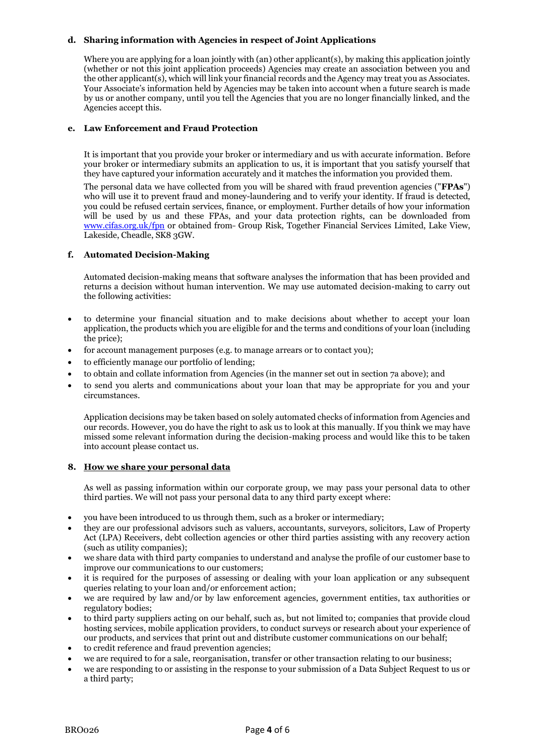# **d. Sharing information with Agencies in respect of Joint Applications**

Where you are applying for a loan jointly with (an) other applicant(s), by making this application jointly (whether or not this joint application proceeds) Agencies may create an association between you and the other applicant(s), which will link your financial records and the Agency may treat you as Associates. Your Associate's information held by Agencies may be taken into account when a future search is made by us or another company, until you tell the Agencies that you are no longer financially linked, and the Agencies accept this.

### **e. Law Enforcement and Fraud Protection**

It is important that you provide your broker or intermediary and us with accurate information. Before your broker or intermediary submits an application to us, it is important that you satisfy yourself that they have captured your information accurately and it matches the information you provided them.

The personal data we have collected from you will be shared with fraud prevention agencies ("**FPAs**") who will use it to prevent fraud and money-laundering and to verify your identity. If fraud is detected, you could be refused certain services, finance, or employment. Further details of how your information will be used by us and these FPAs, and your data protection rights, can be downloaded from [www.cifas.org.uk/fpn](http://www.cifas.org.uk/fpn) or obtained from Group Risk, Together Financial Services Limited, Lake View, Lakeside, Cheadle, SK8 3GW.

### **f. Automated Decision-Making**

Automated decision-making means that software analyses the information that has been provided and returns a decision without human intervention. We may use automated decision-making to carry out the following activities:

- to determine your financial situation and to make decisions about whether to accept your loan application, the products which you are eligible for and the terms and conditions of your loan (including the price);
- for account management purposes (e.g. to manage arrears or to contact you);
- to efficiently manage our portfolio of lending;
- to obtain and collate information from Agencies (in the manner set out in section 7a above); and
- to send you alerts and communications about your loan that may be appropriate for you and your circumstances.

Application decisions may be taken based on solely automated checks of information from Agencies and our records. However, you do have the right to ask us to look at this manually. If you think we may have missed some relevant information during the decision-making process and would like this to be taken into account please contact us.

### **8. How we share your personal data**

As well as passing information within our corporate group, we may pass your personal data to other third parties. We will not pass your personal data to any third party except where:

- you have been introduced to us through them, such as a broker or intermediary;
- they are our professional advisors such as valuers, accountants, surveyors, solicitors, Law of Property Act (LPA) Receivers, debt collection agencies or other third parties assisting with any recovery action (such as utility companies);
- we share data with third party companies to understand and analyse the profile of our customer base to improve our communications to our customers;
- it is required for the purposes of assessing or dealing with your loan application or any subsequent queries relating to your loan and/or enforcement action;
- we are required by law and/or by law enforcement agencies, government entities, tax authorities or regulatory bodies;
- to third party suppliers acting on our behalf, such as, but not limited to; companies that provide cloud hosting services, mobile application providers, to conduct surveys or research about your experience of our products, and services that print out and distribute customer communications on our behalf;
- to credit reference and fraud prevention agencies;
- we are required to for a sale, reorganisation, transfer or other transaction relating to our business;
- we are responding to or assisting in the response to your submission of a Data Subject Request to us or a third party;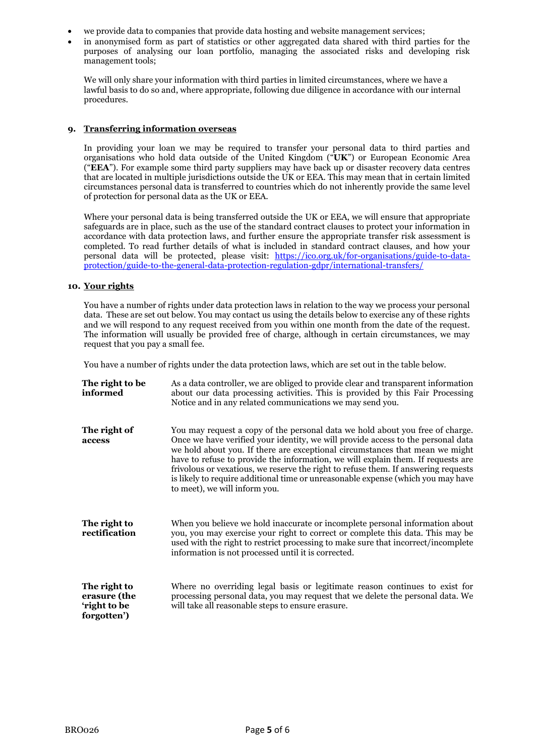- we provide data to companies that provide data hosting and website management services;
- in anonymised form as part of statistics or other aggregated data shared with third parties for the purposes of analysing our loan portfolio, managing the associated risks and developing risk management tools;

We will only share your information with third parties in limited circumstances, where we have a lawful basis to do so and, where appropriate, following due diligence in accordance with our internal procedures.

### **9. Transferring information overseas**

In providing your loan we may be required to transfer your personal data to third parties and organisations who hold data outside of the United Kingdom ("**UK**") or European Economic Area ("**EEA**"). For example some third party suppliers may have back up or disaster recovery data centres that are located in multiple jurisdictions outside the UK or EEA. This may mean that in certain limited circumstances personal data is transferred to countries which do not inherently provide the same level of protection for personal data as the UK or EEA.

Where your personal data is being transferred outside the UK or EEA, we will ensure that appropriate safeguards are in place, such as the use of the standard contract clauses to protect your information in accordance with data protection laws, and further ensure the appropriate transfer risk assessment is completed. To read further details of what is included in standard contract clauses, and how your personal data will be protected, please visit: [https://ico.org.uk/for-organisations/guide-to-data](https://ico.org.uk/for-organisations/guide-to-data-protection/guide-to-the-general-data-protection-regulation-gdpr/international-transfers/)[protection/guide-to-the-general-data-protection-regulation-gdpr/international-transfers/](https://ico.org.uk/for-organisations/guide-to-data-protection/guide-to-the-general-data-protection-regulation-gdpr/international-transfers/)

### **10. Your rights**

You have a number of rights under data protection laws in relation to the way we process your personal data. These are set out below. You may contact us using the details below to exercise any of these rights and we will respond to any request received from you within one month from the date of the request. The information will usually be provided free of charge, although in certain circumstances, we may request that you pay a small fee.

You have a number of rights under the data protection laws, which are set out in the table below.

| The right to be<br>informed                                 | As a data controller, we are obliged to provide clear and transparent information<br>about our data processing activities. This is provided by this Fair Processing<br>Notice and in any related communications we may send you.                                                                                                                                                                                                                                                                                                                 |
|-------------------------------------------------------------|--------------------------------------------------------------------------------------------------------------------------------------------------------------------------------------------------------------------------------------------------------------------------------------------------------------------------------------------------------------------------------------------------------------------------------------------------------------------------------------------------------------------------------------------------|
| The right of<br>access                                      | You may request a copy of the personal data we hold about you free of charge.<br>Once we have verified your identity, we will provide access to the personal data<br>we hold about you. If there are exceptional circumstances that mean we might<br>have to refuse to provide the information, we will explain them. If requests are<br>frivolous or vexatious, we reserve the right to refuse them. If answering requests<br>is likely to require additional time or unreasonable expense (which you may have<br>to meet), we will inform you. |
| The right to<br>rectification                               | When you believe we hold inaccurate or incomplete personal information about<br>you, you may exercise your right to correct or complete this data. This may be<br>used with the right to restrict processing to make sure that incorrect/incomplete<br>information is not processed until it is corrected.                                                                                                                                                                                                                                       |
| The right to<br>erasure (the<br>'right to be<br>forgotten') | Where no overriding legal basis or legitimate reason continues to exist for<br>processing personal data, you may request that we delete the personal data. We<br>will take all reasonable steps to ensure erasure.                                                                                                                                                                                                                                                                                                                               |